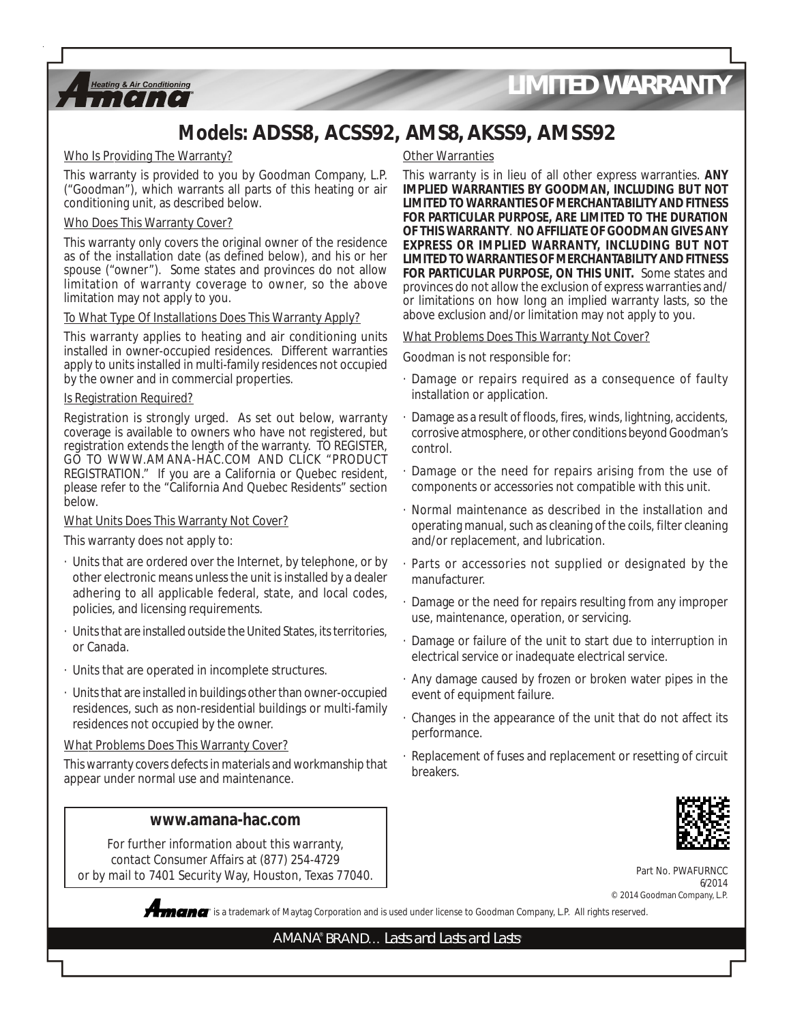

### **Models: ADSS8, ACSS92, AMS8, AKSS9, AMSS92**

#### Who Is Providing The Warranty?

This warranty is provided to you by Goodman Company, L.P. ("Goodman"), which warrants all parts of this heating or air conditioning unit, as described below.

#### Who Does This Warranty Cover?

This warranty only covers the original owner of the residence as of the installation date (as defined below), and his or her spouse ("owner"). Some states and provinces do not allow limitation of warranty coverage to owner, so the above limitation may not apply to you.

#### To What Type Of Installations Does This Warranty Apply?

This warranty applies to heating and air conditioning units installed in owner-occupied residences. Different warranties apply to units installed in multi-family residences not occupied by the owner and in commercial properties.

#### Is Registration Required?

Registration is strongly urged. As set out below, warranty coverage is available to owners who have not registered, but registration extends the length of the warranty. TO REGISTER, GO TO WWW.AMANA-HAC.COM AND CLICK "PRODUCT REGISTRATION." If you are a California or Quebec resident, please refer to the "California And Quebec Residents" section below.

#### What Units Does This Warranty Not Cover?

This warranty does not apply to:

- · Units that are ordered over the Internet, by telephone, or by other electronic means unless the unit is installed by a dealer adhering to all applicable federal, state, and local codes, policies, and licensing requirements.
- · Units that are installed outside the United States, its territories, or Canada.
- · Units that are operated in incomplete structures.
- · Units that are installed in buildings other than owner-occupied residences, such as non-residential buildings or multi-family residences not occupied by the owner.

#### What Problems Does This Warranty Cover?

This warranty covers defects in materials and workmanship that appear under normal use and maintenance.

#### **www.amana-hac.com**

For further information about this warranty, contact Consumer Affairs at (877) 254-4729 or by mail to 7401 Security Way, Houston, Texas 77040.

#### **Other Warranties**

This warranty is in lieu of all other express warranties. **ANY IMPLIED WARRANTIES BY GOODMAN, INCLUDING BUT NOT LIMITED TO WARRANTIES OF MERCHANTABILITY AND FITNESS FOR PARTICULAR PURPOSE, ARE LIMITED TO THE DURATION OF THIS WARRANTY**. **NO AFFILIATE OF GOODMAN GIVES ANY EXPRESS OR IMPLIED WARRANTY, INCLUDING BUT NOT LIMITED TO WARRANTIES OF MERCHANTABILITY AND FITNESS FOR PARTICULAR PURPOSE, ON THIS UNIT.** Some states and provinces do not allow the exclusion of express warranties and/ or limitations on how long an implied warranty lasts, so the above exclusion and/or limitation may not apply to you.

#### What Problems Does This Warranty Not Cover?

Goodman is not responsible for:

- · Damage or repairs required as a consequence of faulty installation or application.
- Damage as a result of floods, fires, winds, lightning, accidents, corrosive atmosphere, or other conditions beyond Goodman's control.
- Damage or the need for repairs arising from the use of components or accessories not compatible with this unit.
- · Normal maintenance as described in the installation and operating manual, such as cleaning of the coils, filter cleaning and/or replacement, and lubrication.
- · Parts or accessories not supplied or designated by the manufacturer.
- Damage or the need for repairs resulting from any improper use, maintenance, operation, or servicing.
- Damage or failure of the unit to start due to interruption in electrical service or inadequate electrical service.
- · Any damage caused by frozen or broken water pipes in the event of equipment failure.
- · Changes in the appearance of the unit that do not affect its performance.
- · Replacement of fuses and replacement or resetting of circuit breakers.



Part No. PWAFURNCC 6/2014 © 2014 Goodman Company, L.P.

**®** is a trademark of Maytag Corporation and is used under license to Goodman Company, L.P. All rights reserved.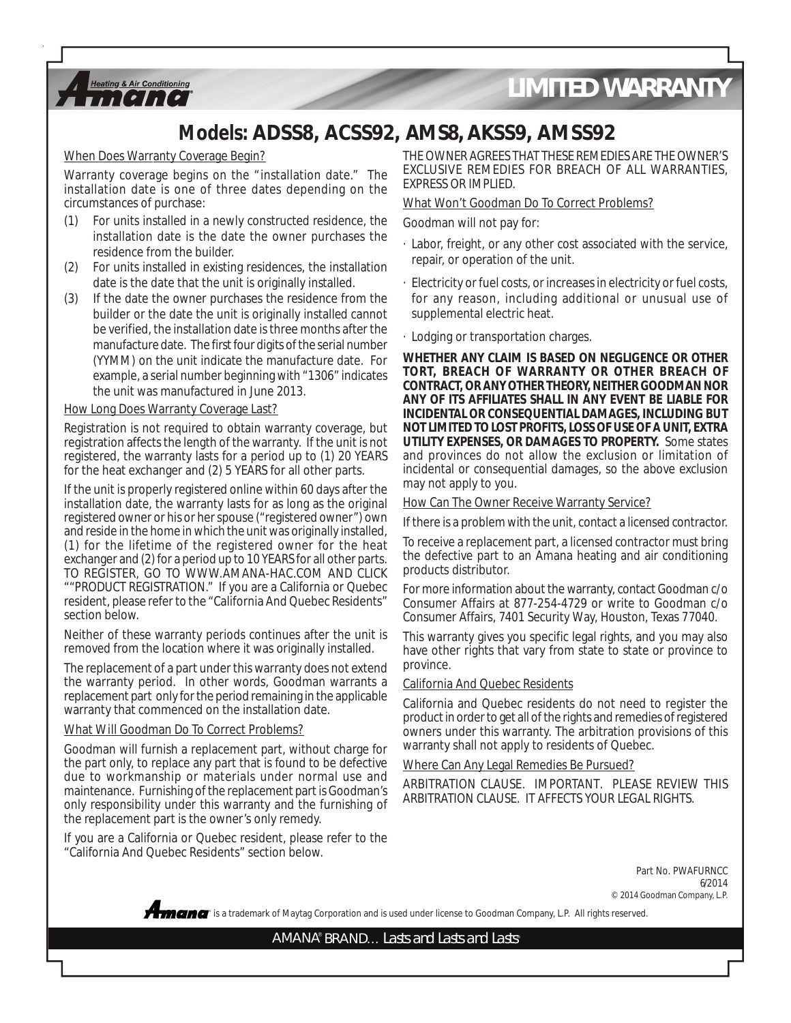

### **Models: ADSS8, ACSS92, AMS8, AKSS9, AMSS92**

When Does Warranty Coverage Begin?

Warranty coverage begins on the "installation date." The installation date is one of three dates depending on the circumstances of purchase:

- For units installed in a newly constructed residence, the installation date is the date the owner purchases the residence from the builder.
- (2) For units installed in existing residences, the installation date is the date that the unit is originally installed.
- (3) If the date the owner purchases the residence from the builder or the date the unit is originally installed cannot be verified, the installation date is three months after the manufacture date. The first four digits of the serial number (YYMM) on the unit indicate the manufacture date. For example, a serial number beginning with "1306" indicates the unit was manufactured in June 2013.

#### How Long Does Warranty Coverage Last?

Registration is not required to obtain warranty coverage, but registration affects the length of the warranty. If the unit is not registered, the warranty lasts for a period up to (1) 20 YEARS for the heat exchanger and (2) 5 YEARS for all other parts.

If the unit is properly registered online within 60 days after the installation date, the warranty lasts for as long as the original registered owner or his or her spouse ("registered owner") own and reside in the home in which the unit was originally installed, (1) for the lifetime of the registered owner for the heat exchanger and (2) for a period up to 10 YEARS for all other parts. TO REGISTER, GO TO WWW.AMANA-HAC.COM AND CLICK ""PRODUCT REGISTRATION." If you are a California or Quebec resident, please refer to the "California And Quebec Residents" section below.

Neither of these warranty periods continues after the unit is removed from the location where it was originally installed.

The replacement of a part under this warranty does not extend the warranty period. In other words, Goodman warrants a replacement part only for the period remaining in the applicable warranty that commenced on the installation date.

#### What Will Goodman Do To Correct Problems?

Goodman will furnish a replacement part, without charge for the part only, to replace any part that is found to be defective due to workmanship or materials under normal use and maintenance. Furnishing of the replacement part is Goodman's only responsibility under this warranty and the furnishing of the replacement part is the owner's only remedy.

If you are a California or Quebec resident, please refer to the "California And Quebec Residents" section below.

THE OWNER AGREES THAT THESE REMEDIES ARE THE OWNER'S EXCLUSIVE REMEDIES FOR BREACH OF ALL WARRANTIES, EXPRESS OR IMPLIED.

#### What Won't Goodman Do To Correct Problems?

Goodman will not pay for:

- · Labor, freight, or any other cost associated with the service, repair, or operation of the unit.
- · Electricity or fuel costs, or increases in electricity or fuel costs, for any reason, including additional or unusual use of supplemental electric heat.
- · Lodging or transportation charges.

**WHETHER ANY CLAIM IS BASED ON NEGLIGENCE OR OTHER TORT, BREACH OF WARRANTY OR OTHER BREACH OF CONTRACT, OR ANY OTHER THEORY, NEITHER GOODMAN NOR ANY OF ITS AFFILIATES SHALL IN ANY EVENT BE LIABLE FOR INCIDENTAL OR CONSEQUENTIAL DAMAGES, INCLUDING BUT NOT LIMITED TO LOST PROFITS, LOSS OF USE OF A UNIT, EXTRA UTILITY EXPENSES, OR DAMAGES TO PROPERTY.** Some states and provinces do not allow the exclusion or limitation of incidental or consequential damages, so the above exclusion may not apply to you.

#### How Can The Owner Receive Warranty Service?

If there is a problem with the unit, contact a licensed contractor.

To receive a replacement part, a licensed contractor must bring the defective part to an Amana heating and air conditioning products distributor.

For more information about the warranty, contact Goodman c/o Consumer Affairs at 877-254-4729 or write to Goodman c/o Consumer Affairs, 7401 Security Way, Houston, Texas 77040.

This warranty gives you specific legal rights, and you may also have other rights that vary from state to state or province to province.

#### California And Quebec Residents

California and Quebec residents do not need to register the product in order to get all of the rights and remedies of registered owners under this warranty. The arbitration provisions of this warranty shall not apply to residents of Quebec.

#### Where Can Any Legal Remedies Be Pursued?

ARBITRATION CLAUSE. IMPORTANT. PLEASE REVIEW THIS ARBITRATION CLAUSE. IT AFFECTS YOUR LEGAL RIGHTS.

> Part No. PWAFURNCC 6/2014 © 2014 Goodman Company, L.P.

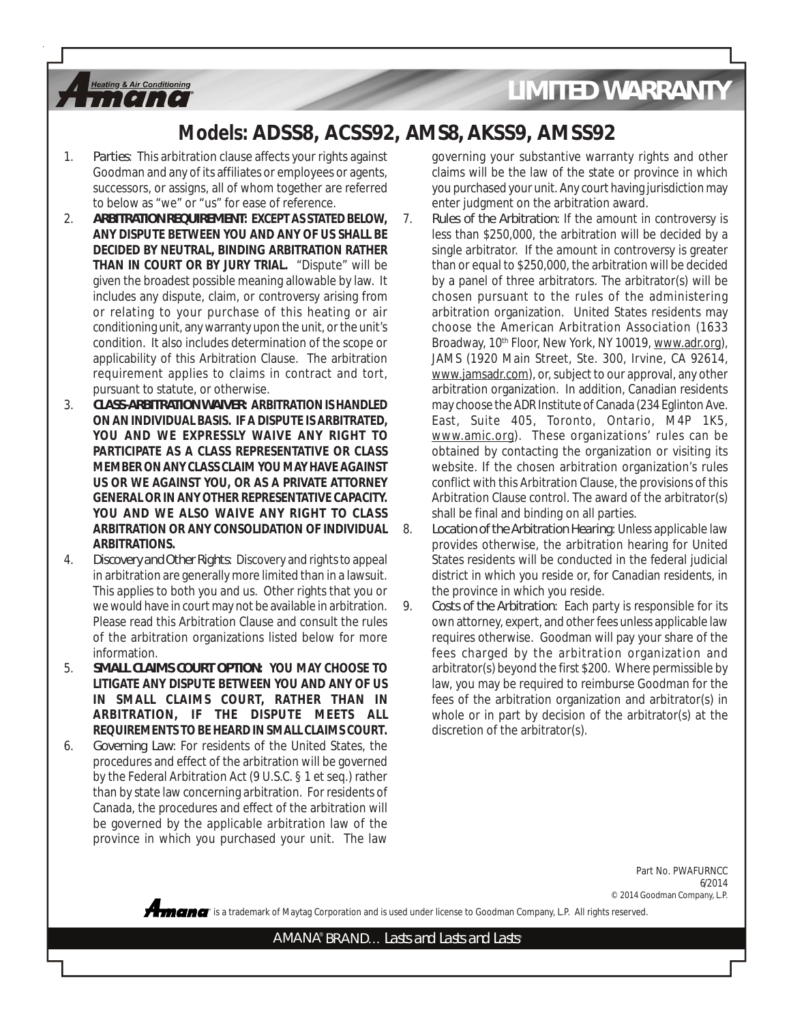### **Models: ADSS8, ACSS92, AMS8, AKSS9, AMSS92**

1. *Parties*: This arbitration clause affects your rights against Goodman and any of its affiliates or employees or agents, successors, or assigns, all of whom together are referred to below as "we" or "us" for ease of reference.

**Heating & Air Conditioning**  $I$  $I$  $I$  $I$  $I$  $I$  $I$ 

- 2. *ARBITRATION REQUIREMENT***: EXCEPT AS STATED BELOW, ANY DISPUTE BETWEEN YOU AND ANY OF US SHALL BE DECIDED BY NEUTRAL, BINDING ARBITRATION RATHER THAN IN COURT OR BY JURY TRIAL.** "Dispute" will be given the broadest possible meaning allowable by law. It includes any dispute, claim, or controversy arising from or relating to your purchase of this heating or air conditioning unit, any warranty upon the unit, or the unit's condition. It also includes determination of the scope or applicability of this Arbitration Clause. The arbitration requirement applies to claims in contract and tort, pursuant to statute, or otherwise.
- 3. *CLASS-ARBITRATION WAIVER***: ARBITRATION IS HANDLED ON AN INDIVIDUAL BASIS. IF A DISPUTE IS ARBITRATED, YOU AND WE EXPRESSLY WAIVE ANY RIGHT TO PARTICIPATE AS A CLASS REPRESENTATIVE OR CLASS MEMBER ON ANY CLASS CLAIM YOU MAY HAVE AGAINST US OR WE AGAINST YOU, OR AS A PRIVATE ATTORNEY GENERAL OR IN ANY OTHER REPRESENTATIVE CAPACITY. YOU AND WE ALSO WAIVE ANY RIGHT TO CLASS ARBITRATION OR ANY CONSOLIDATION OF INDIVIDUAL ARBITRATIONS.**
- 4. *Discovery and Other Rights*: Discovery and rights to appeal in arbitration are generally more limited than in a lawsuit. This applies to both you and us. Other rights that you or we would have in court may not be available in arbitration. Please read this Arbitration Clause and consult the rules of the arbitration organizations listed below for more information.
- 5. *SMALL CLAIMS COURT OPTION***: YOU MAY CHOOSE TO LITIGATE ANY DISPUTE BETWEEN YOU AND ANY OF US IN SMALL CLAIMS COURT, RATHER THAN IN ARBITRATION, IF THE DISPUTE MEETS ALL REQUIREMENTS TO BE HEARD IN SMALL CLAIMS COURT.**
- 6. *Governing Law*: For residents of the United States, the procedures and effect of the arbitration will be governed by the Federal Arbitration Act (9 U.S.C. § 1 et seq.) rather than by state law concerning arbitration. For residents of Canada, the procedures and effect of the arbitration will be governed by the applicable arbitration law of the province in which you purchased your unit. The law

governing your substantive warranty rights and other claims will be the law of the state or province in which you purchased your unit. Any court having jurisdiction may enter judgment on the arbitration award.

- 7. *Rules of the Arbitration*: If the amount in controversy is less than \$250,000, the arbitration will be decided by a single arbitrator. If the amount in controversy is greater than or equal to \$250,000, the arbitration will be decided by a panel of three arbitrators. The arbitrator(s) will be chosen pursuant to the rules of the administering arbitration organization. United States residents may choose the American Arbitration Association (1633 Broadway, 10<sup>th</sup> Floor, New York, NY 10019, www.adr.org), JAMS (1920 Main Street, Ste. 300, Irvine, CA 92614, www.jamsadr.com), or, subject to our approval, any other arbitration organization. In addition, Canadian residents may choose the ADR Institute of Canada (234 Eglinton Ave. East, Suite 405, Toronto, Ontario, M4P 1K5, www.amic.org). These organizations' rules can be obtained by contacting the organization or visiting its website. If the chosen arbitration organization's rules conflict with this Arbitration Clause, the provisions of this Arbitration Clause control. The award of the arbitrator(s) shall be final and binding on all parties.
- 8. *Location of the Arbitration Hearing*: Unless applicable law provides otherwise, the arbitration hearing for United States residents will be conducted in the federal judicial district in which you reside or, for Canadian residents, in the province in which you reside.
- 9. *Costs of the Arbitration*: Each party is responsible for its own attorney, expert, and other fees unless applicable law requires otherwise. Goodman will pay your share of the fees charged by the arbitration organization and arbitrator(s) beyond the first \$200. Where permissible by law, you may be required to reimburse Goodman for the fees of the arbitration organization and arbitrator(s) in whole or in part by decision of the arbitrator(s) at the discretion of the arbitrator(s).

Part No. PWAFURNCC 6/2014 © 2014 Goodman Company, L.P.

**®** is a trademark of Maytag Corporation and is used under license to Goodman Company, L.P. All rights reserved.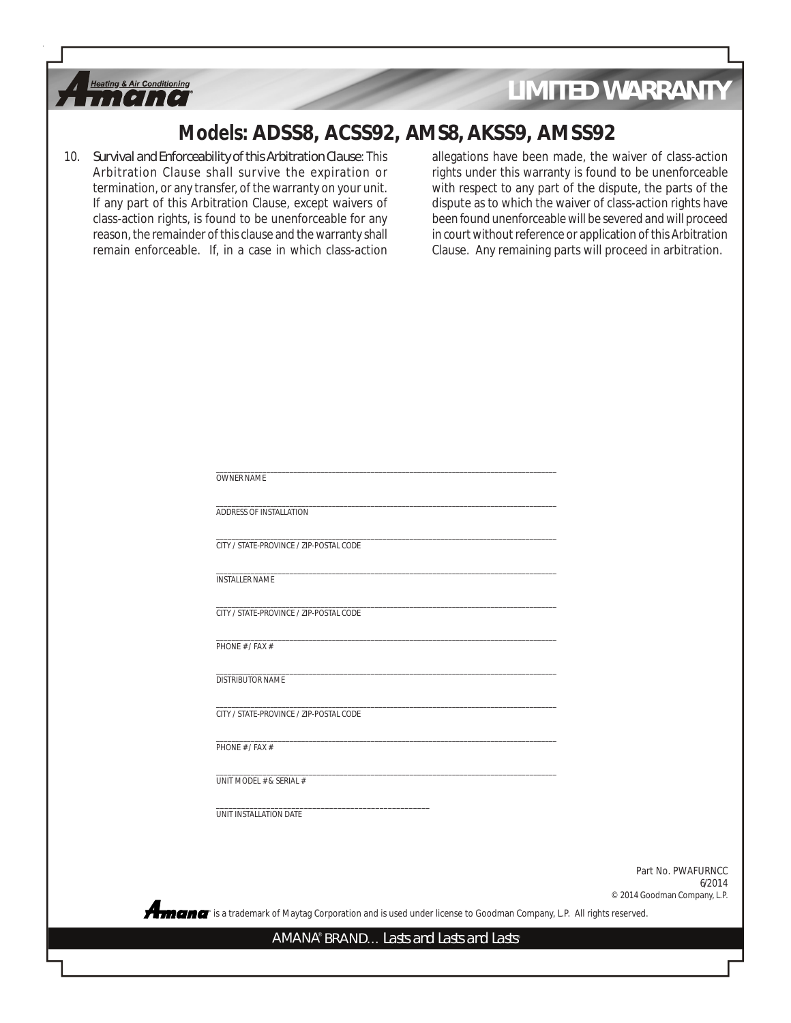

### **Models: ADSS8, ACSS92, AMS8, AKSS9, AMSS92**

10. *Survival and Enforceability of this Arbitration Clause*: This Arbitration Clause shall survive the expiration or termination, or any transfer, of the warranty on your unit. If any part of this Arbitration Clause, except waivers of class-action rights, is found to be unenforceable for any reason, the remainder of this clause and the warranty shall remain enforceable. If, in a case in which class-action

allegations have been made, the waiver of class-action rights under this warranty is found to be unenforceable with respect to any part of the dispute, the parts of the dispute as to which the waiver of class-action rights have been found unenforceable will be severed and will proceed in court without reference or application of this Arbitration Clause. Any remaining parts will proceed in arbitration.

| OWNER NAME                                                                                                                                                      |                              |
|-----------------------------------------------------------------------------------------------------------------------------------------------------------------|------------------------------|
| ADDRESS OF INSTALLATION                                                                                                                                         |                              |
| CITY / STATE-PROVINCE / ZIP-POSTAL CODE                                                                                                                         |                              |
| <b>INSTALLER NAME</b>                                                                                                                                           |                              |
| CITY / STATE-PROVINCE / ZIP-POSTAL CODE                                                                                                                         |                              |
| PHONE # / FAX #                                                                                                                                                 |                              |
| DISTRIBUTOR NAME                                                                                                                                                |                              |
| CITY / STATE-PROVINCE / ZIP-POSTAL CODE                                                                                                                         |                              |
| PHONE # / FAX #                                                                                                                                                 |                              |
| UNIT MODEL # & SERIAL #                                                                                                                                         |                              |
| UNIT INSTALLATION DATE                                                                                                                                          |                              |
|                                                                                                                                                                 |                              |
|                                                                                                                                                                 | Part No. PWAFURNCC<br>6/2014 |
|                                                                                                                                                                 | © 2014 Goodman Company, L.P. |
| Amana " is a trademark of Maytag Corporation and is used under license to Goodman Company, L.P. All rights reserved.<br>AMANA® BRAND Lasts and Lasts and Lasts® |                              |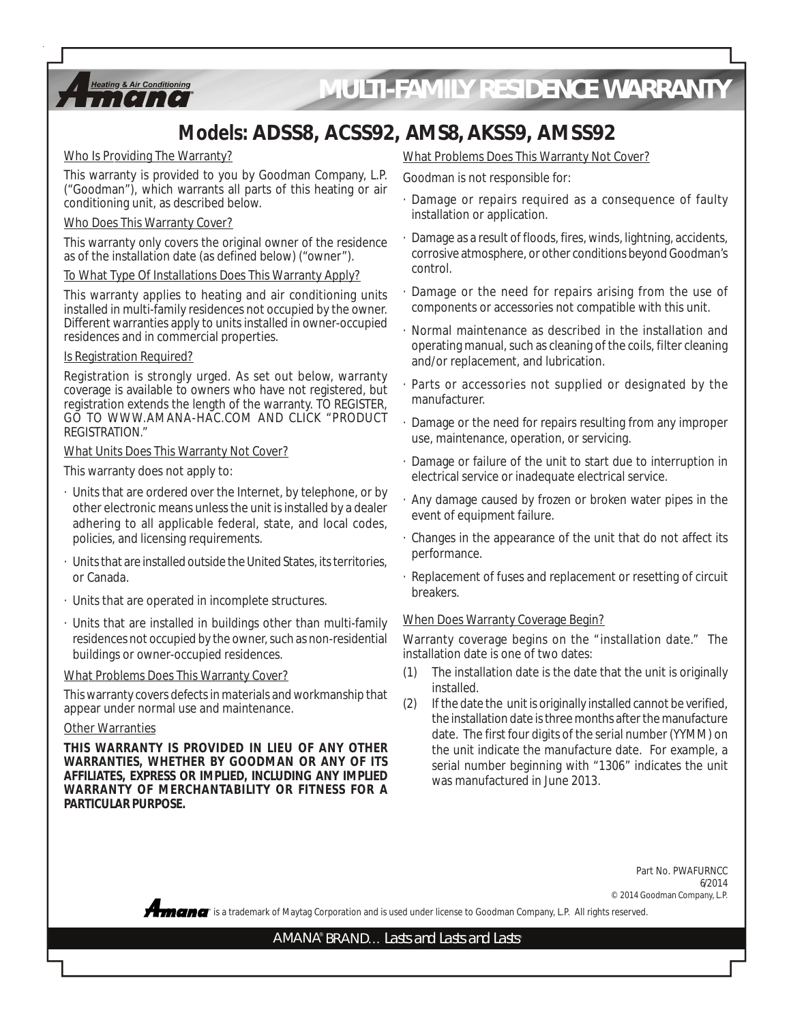

# *MULTI-FAMILY RESIDENCE WARRANTY*

## **Models: ADSS8, ACSS92, AMS8, AKSS9, AMSS92**

#### Who Is Providing The Warranty?

This warranty is provided to you by Goodman Company, L.P. ("Goodman"), which warrants all parts of this heating or air conditioning unit, as described below.

#### Who Does This Warranty Cover?

This warranty only covers the original owner of the residence as of the installation date (as defined below) ("owner").

#### To What Type Of Installations Does This Warranty Apply?

This warranty applies to heating and air conditioning units installed in multi-family residences not occupied by the owner. Different warranties apply to units installed in owner-occupied residences and in commercial properties.

#### Is Registration Required?

Registration is strongly urged. As set out below, warranty coverage is available to owners who have not registered, but registration extends the length of the warranty. TO REGISTER, GO TO WWW.AMANA-HAC.COM AND CLICK "PRODUCT REGISTRATION."

#### What Units Does This Warranty Not Cover?

This warranty does not apply to:

- · Units that are ordered over the Internet, by telephone, or by other electronic means unless the unit is installed by a dealer adhering to all applicable federal, state, and local codes, policies, and licensing requirements.
- Units that are installed outside the United States, its territories, or Canada.
- Units that are operated in incomplete structures.
- Units that are installed in buildings other than multi-family residences not occupied by the owner, such as non-residential buildings or owner-occupied residences.

#### What Problems Does This Warranty Cover?

This warranty covers defects in materials and workmanship that appear under normal use and maintenance.

#### Other Warranties

**THIS WARRANTY IS PROVIDED IN LIEU OF ANY OTHER WARRANTIES, WHETHER BY GOODMAN OR ANY OF ITS AFFILIATES, EXPRESS OR IMPLIED, INCLUDING ANY IMPLIED WARRANTY OF MERCHANTABILITY OR FITNESS FOR A PARTICULAR PURPOSE.**

#### What Problems Does This Warranty Not Cover?

Goodman is not responsible for:

- · Damage or repairs required as a consequence of faulty installation or application.
- Damage as a result of floods, fires, winds, lightning, accidents, corrosive atmosphere, or other conditions beyond Goodman's control.
- Damage or the need for repairs arising from the use of components or accessories not compatible with this unit.
- · Normal maintenance as described in the installation and operating manual, such as cleaning of the coils, filter cleaning and/or replacement, and lubrication.
- Parts or accessories not supplied or designated by the manufacturer.
- · Damage or the need for repairs resulting from any improper use, maintenance, operation, or servicing.
- · Damage or failure of the unit to start due to interruption in electrical service or inadequate electrical service.
- · Any damage caused by frozen or broken water pipes in the event of equipment failure.
- · Changes in the appearance of the unit that do not affect its performance.
- · Replacement of fuses and replacement or resetting of circuit breakers.

#### When Does Warranty Coverage Begin?

Warranty coverage begins on the "installation date." The installation date is one of two dates:

- (1) The installation date is the date that the unit is originally installed.
- (2) If the date the unit is originally installed cannot be verified, the installation date is three months after the manufacture date. The first four digits of the serial number (YYMM) on the unit indicate the manufacture date. For example, a serial number beginning with "1306" indicates the unit was manufactured in June 2013.

**®** is a trademark of Maytag Corporation and is used under license to Goodman Company, L.P. All rights reserved. Part No. PWAFURNCC 6/2014 © 2014 Goodman Company, L.P.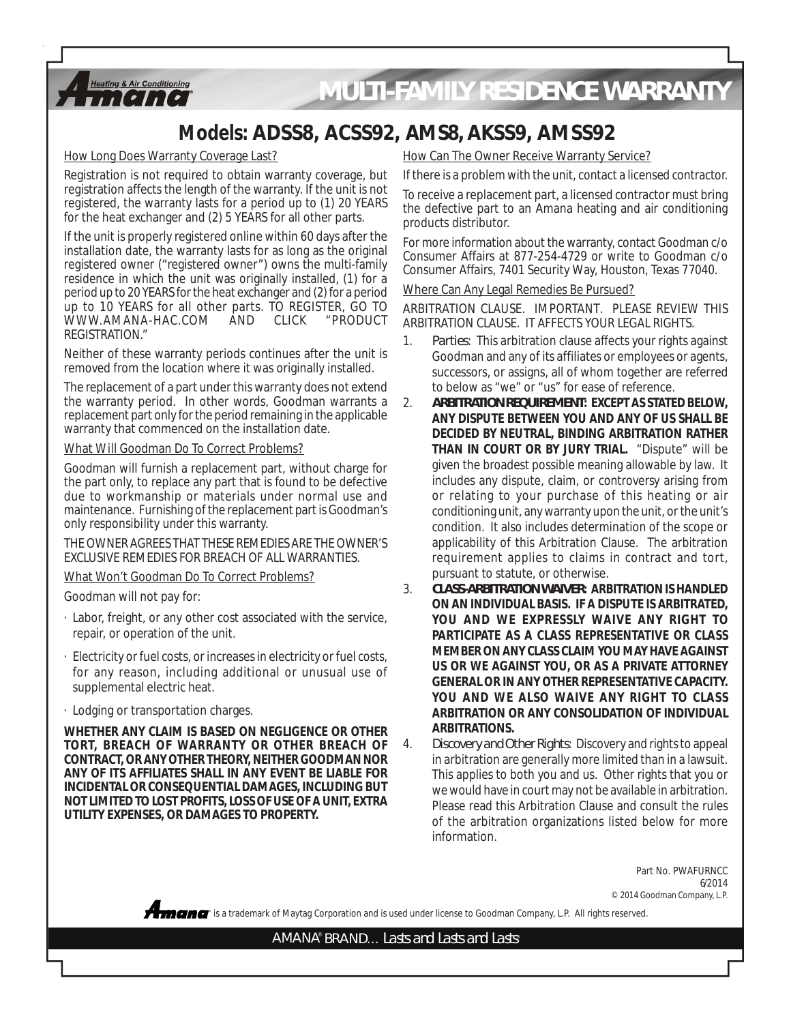

# *MULTI-FAMILY RESIDENCE WARRANTY*

### **Models: ADSS8, ACSS92, AMS8, AKSS9, AMSS92**

How Long Does Warranty Coverage Last?

Registration is not required to obtain warranty coverage, but registration affects the length of the warranty. If the unit is not registered, the warranty lasts for a period up to (1) 20 YEARS for the heat exchanger and (2) 5 YEARS for all other parts.

If the unit is properly registered online within 60 days after the installation date, the warranty lasts for as long as the original registered owner ("registered owner") owns the multi-family residence in which the unit was originally installed, (1) for a period up to 20 YEARS for the heat exchanger and (2) for a period up to 10 YEARS for all other parts. TO REGISTER, GO TO WWW.AMANA-HAC.COM AND REGISTRATION."

Neither of these warranty periods continues after the unit is removed from the location where it was originally installed.

The replacement of a part under this warranty does not extend the warranty period. In other words, Goodman warrants a replacement part only for the period remaining in the applicable warranty that commenced on the installation date.

#### What Will Goodman Do To Correct Problems?

Goodman will furnish a replacement part, without charge for the part only, to replace any part that is found to be defective due to workmanship or materials under normal use and maintenance. Furnishing of the replacement part is Goodman's only responsibility under this warranty.

THE OWNER AGREES THAT THESE REMEDIES ARE THE OWNER'S EXCLUSIVE REMEDIES FOR BREACH OF ALL WARRANTIES.

What Won't Goodman Do To Correct Problems?

Goodman will not pay for:

- · Labor, freight, or any other cost associated with the service, repair, or operation of the unit.
- · Electricity or fuel costs, or increases in electricity or fuel costs, for any reason, including additional or unusual use of supplemental electric heat.
- · Lodging or transportation charges.

**WHETHER ANY CLAIM IS BASED ON NEGLIGENCE OR OTHER TORT, BREACH OF WARRANTY OR OTHER BREACH OF CONTRACT, OR ANY OTHER THEORY, NEITHER GOODMAN NOR ANY OF ITS AFFILIATES SHALL IN ANY EVENT BE LIABLE FOR INCIDENTAL OR CONSEQUENTIAL DAMAGES, INCLUDING BUT NOT LIMITED TO LOST PROFITS, LOSS OF USE OF A UNIT, EXTRA UTILITY EXPENSES, OR DAMAGES TO PROPERTY.**

How Can The Owner Receive Warranty Service?

If there is a problem with the unit, contact a licensed contractor.

To receive a replacement part, a licensed contractor must bring the defective part to an Amana heating and air conditioning products distributor.

For more information about the warranty, contact Goodman c/o Consumer Affairs at 877-254-4729 or write to Goodman c/o Consumer Affairs, 7401 Security Way, Houston, Texas 77040.

Where Can Any Legal Remedies Be Pursued?

ARBITRATION CLAUSE. IMPORTANT. PLEASE REVIEW THIS ARBITRATION CLAUSE. IT AFFECTS YOUR LEGAL RIGHTS.

- 1. *Parties*: This arbitration clause affects your rights against Goodman and any of its affiliates or employees or agents, successors, or assigns, all of whom together are referred to below as "we" or "us" for ease of reference.
- 2. *ARBITRATION REQUIREMENT***: EXCEPT AS STATED BELOW, ANY DISPUTE BETWEEN YOU AND ANY OF US SHALL BE DECIDED BY NEUTRAL, BINDING ARBITRATION RATHER THAN IN COURT OR BY JURY TRIAL.** "Dispute" will be given the broadest possible meaning allowable by law. It includes any dispute, claim, or controversy arising from or relating to your purchase of this heating or air conditioning unit, any warranty upon the unit, or the unit's condition. It also includes determination of the scope or applicability of this Arbitration Clause. The arbitration requirement applies to claims in contract and tort, pursuant to statute, or otherwise.
- 3. *CLASS-ARBITRATION WAIVER***: ARBITRATION IS HANDLED ON AN INDIVIDUAL BASIS. IF A DISPUTE IS ARBITRATED, YOU AND WE EXPRESSLY WAIVE ANY RIGHT TO PARTICIPATE AS A CLASS REPRESENTATIVE OR CLASS MEMBER ON ANY CLASS CLAIM YOU MAY HAVE AGAINST US OR WE AGAINST YOU, OR AS A PRIVATE ATTORNEY GENERAL OR IN ANY OTHER REPRESENTATIVE CAPACITY. YOU AND WE ALSO WAIVE ANY RIGHT TO CLASS ARBITRATION OR ANY CONSOLIDATION OF INDIVIDUAL ARBITRATIONS.**

4. *Discovery and Other Rights*: Discovery and rights to appeal in arbitration are generally more limited than in a lawsuit. This applies to both you and us. Other rights that you or we would have in court may not be available in arbitration. Please read this Arbitration Clause and consult the rules of the arbitration organizations listed below for more information.

> Part No. PWAFURNCC 6/2014 © 2014 Goodman Company, L.P.

**®** is a trademark of Maytag Corporation and is used under license to Goodman Company, L.P. All rights reserved.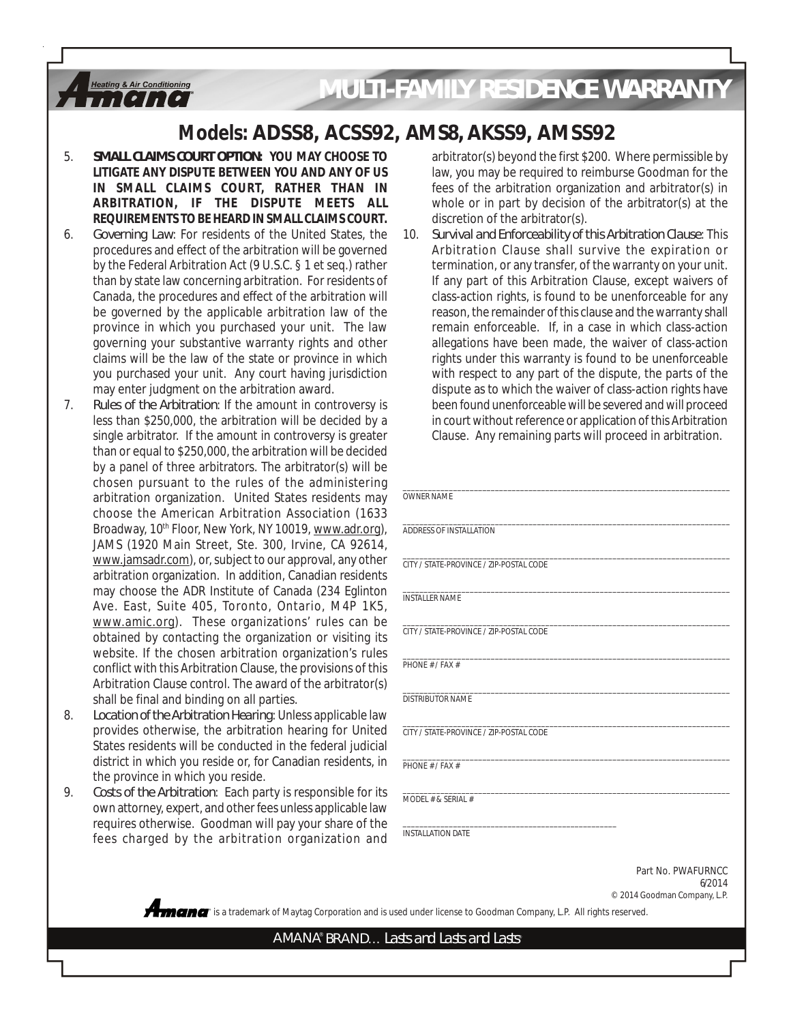# *MULTI-FAMILY RESIDENCE WARRANTY*

### **Models: ADSS8, ACSS92, AMS8, AKSS9, AMSS92**

5. *SMALL CLAIMS COURT OPTION***: YOU MAY CHOOSE TO LITIGATE ANY DISPUTE BETWEEN YOU AND ANY OF US IN SMALL CLAIMS COURT, RATHER THAN IN ARBITRATION, IF THE DISPUTE MEETS ALL REQUIREMENTS TO BE HEARD IN SMALL CLAIMS COURT.**

**Heating & Air Conditioning**  $1!!1!!!$ 

- 6. *Governing Law*: For residents of the United States, the procedures and effect of the arbitration will be governed by the Federal Arbitration Act (9 U.S.C. § 1 et seq.) rather than by state law concerning arbitration. For residents of Canada, the procedures and effect of the arbitration will be governed by the applicable arbitration law of the province in which you purchased your unit. The law governing your substantive warranty rights and other claims will be the law of the state or province in which you purchased your unit. Any court having jurisdiction may enter judgment on the arbitration award.
- 7. *Rules of the Arbitration*: If the amount in controversy is less than \$250,000, the arbitration will be decided by a single arbitrator. If the amount in controversy is greater than or equal to \$250,000, the arbitration will be decided by a panel of three arbitrators. The arbitrator(s) will be chosen pursuant to the rules of the administering arbitration organization. United States residents may choose the American Arbitration Association (1633 Broadway, 10<sup>th</sup> Floor, New York, NY 10019, www.adr.org), JAMS (1920 Main Street, Ste. 300, Irvine, CA 92614, www.jamsadr.com), or, subject to our approval, any other arbitration organization. In addition, Canadian residents may choose the ADR Institute of Canada (234 Eglinton Ave. East, Suite 405, Toronto, Ontario, M4P 1K5, www.amic.org). These organizations' rules can be obtained by contacting the organization or visiting its website. If the chosen arbitration organization's rules conflict with this Arbitration Clause, the provisions of this Arbitration Clause control. The award of the arbitrator(s) shall be final and binding on all parties.
- 8. *Location of the Arbitration Hearing*: Unless applicable law provides otherwise, the arbitration hearing for United States residents will be conducted in the federal judicial district in which you reside or, for Canadian residents, in the province in which you reside.
- 9. *Costs of the Arbitration*: Each party is responsible for its own attorney, expert, and other fees unless applicable law requires otherwise. Goodman will pay your share of the fees charged by the arbitration organization and

arbitrator(s) beyond the first \$200. Where permissible by law, you may be required to reimburse Goodman for the fees of the arbitration organization and arbitrator(s) in whole or in part by decision of the arbitrator(s) at the discretion of the arbitrator(s).

10. *Survival and Enforceability of this Arbitration Clause*: This Arbitration Clause shall survive the expiration or termination, or any transfer, of the warranty on your unit. If any part of this Arbitration Clause, except waivers of class-action rights, is found to be unenforceable for any reason, the remainder of this clause and the warranty shall remain enforceable. If, in a case in which class-action allegations have been made, the waiver of class-action rights under this warranty is found to be unenforceable with respect to any part of the dispute, the parts of the dispute as to which the waiver of class-action rights have been found unenforceable will be severed and will proceed in court without reference or application of this Arbitration Clause. Any remaining parts will proceed in arbitration.

| <b>OWNER NAME</b>                       |                              |
|-----------------------------------------|------------------------------|
| ADDRESS OF INSTALLATION                 |                              |
| CITY / STATE-PROVINCE / ZIP-POSTAL CODE |                              |
| <b>INSTALLER NAME</b>                   |                              |
| CITY / STATE-PROVINCE / ZIP-POSTAL CODE |                              |
| PHONF # / FAX #                         |                              |
| <b>DISTRIBUTOR NAME</b>                 |                              |
| CITY / STATE-PROVINCE / ZIP-POSTAL CODE |                              |
| PHONF # / FAX #                         |                              |
| MODEL # & SERIAL #                      |                              |
| <b>INSTALLATION DATE</b>                |                              |
|                                         | Part No. PWAFURNCC<br>6/2014 |
|                                         | @ 2014 Coodman Company LD    |

© 2014 Goodman Company, L.P.

**®** is a trademark of Maytag Corporation and is used under license to Goodman Company, L.P. All rights reserved.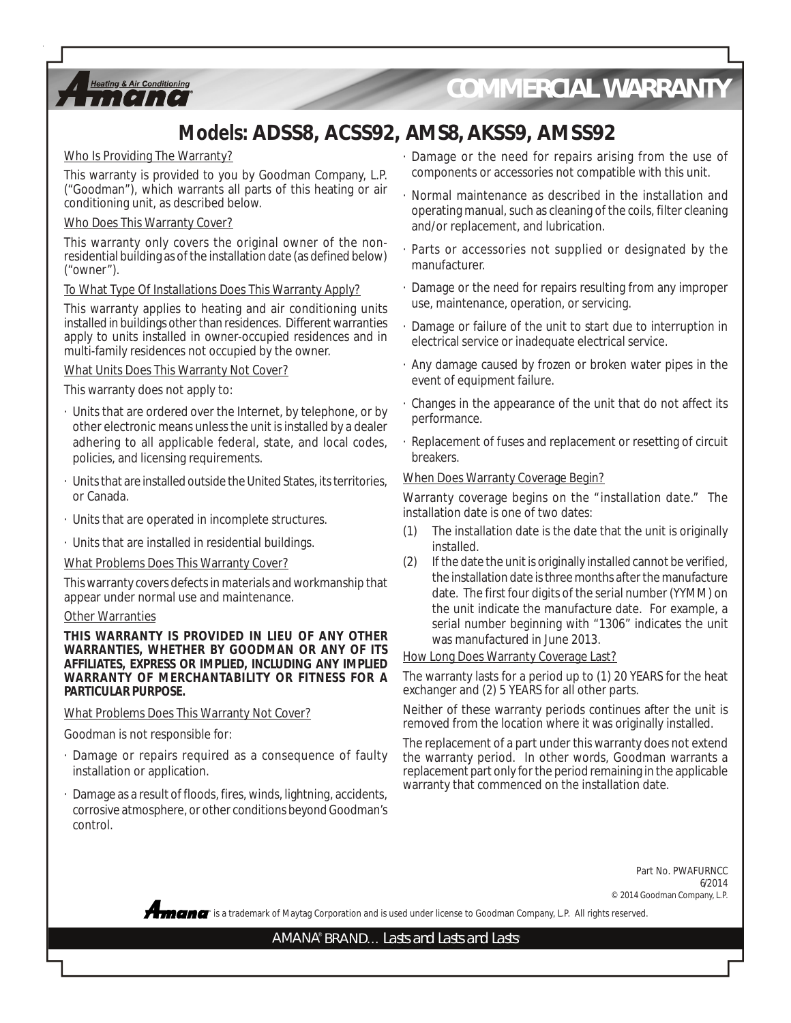

*COMMERCIAL WARRANTY*

## **Models: ADSS8, ACSS92, AMS8, AKSS9, AMSS92**

#### Who Is Providing The Warranty?

This warranty is provided to you by Goodman Company, L.P. ("Goodman"), which warrants all parts of this heating or air conditioning unit, as described below.

#### Who Does This Warranty Cover?

This warranty only covers the original owner of the nonresidential building as of the installation date (as defined below) ("owner").

#### To What Type Of Installations Does This Warranty Apply?

This warranty applies to heating and air conditioning units installed in buildings other than residences. Different warranties apply to units installed in owner-occupied residences and in multi-family residences not occupied by the owner.

#### What Units Does This Warranty Not Cover?

This warranty does not apply to:

- · Units that are ordered over the Internet, by telephone, or by other electronic means unless the unit is installed by a dealer adhering to all applicable federal, state, and local codes, policies, and licensing requirements.
- · Units that are installed outside the United States, its territories, or Canada.
- · Units that are operated in incomplete structures.
- · Units that are installed in residential buildings.

What Problems Does This Warranty Cover?

This warranty covers defects in materials and workmanship that appear under normal use and maintenance.

#### Other Warranties

**THIS WARRANTY IS PROVIDED IN LIEU OF ANY OTHER WARRANTIES, WHETHER BY GOODMAN OR ANY OF ITS AFFILIATES, EXPRESS OR IMPLIED, INCLUDING ANY IMPLIED WARRANTY OF MERCHANTABILITY OR FITNESS FOR A PARTICULAR PURPOSE.**

What Problems Does This Warranty Not Cover?

Goodman is not responsible for:

- · Damage or repairs required as a consequence of faulty installation or application.
- Damage as a result of floods, fires, winds, lightning, accidents, corrosive atmosphere, or other conditions beyond Goodman's control.
- · Damage or the need for repairs arising from the use of components or accessories not compatible with this unit.
- · Normal maintenance as described in the installation and operating manual, such as cleaning of the coils, filter cleaning and/or replacement, and lubrication.
- Parts or accessories not supplied or designated by the manufacturer.
- · Damage or the need for repairs resulting from any improper use, maintenance, operation, or servicing.
- Damage or failure of the unit to start due to interruption in electrical service or inadequate electrical service.
- · Any damage caused by frozen or broken water pipes in the event of equipment failure.
- · Changes in the appearance of the unit that do not affect its performance.
- · Replacement of fuses and replacement or resetting of circuit breakers.

#### When Does Warranty Coverage Begin?

Warranty coverage begins on the "installation date." The installation date is one of two dates:

- (1) The installation date is the date that the unit is originally installed.
- (2) If the date the unit is originally installed cannot be verified, the installation date is three months after the manufacture date. The first four digits of the serial number (YYMM) on the unit indicate the manufacture date. For example, a serial number beginning with "1306" indicates the unit was manufactured in June 2013.

#### How Long Does Warranty Coverage Last?

The warranty lasts for a period up to (1) 20 YEARS for the heat exchanger and (2) 5 YEARS for all other parts.

Neither of these warranty periods continues after the unit is removed from the location where it was originally installed.

The replacement of a part under this warranty does not extend the warranty period. In other words, Goodman warrants a replacement part only for the period remaining in the applicable warranty that commenced on the installation date.

> Part No. PWAFURNCC 6/2014 © 2014 Goodman Company, L.P.

**®** is a trademark of Maytag Corporation and is used under license to Goodman Company, L.P. All rights reserved.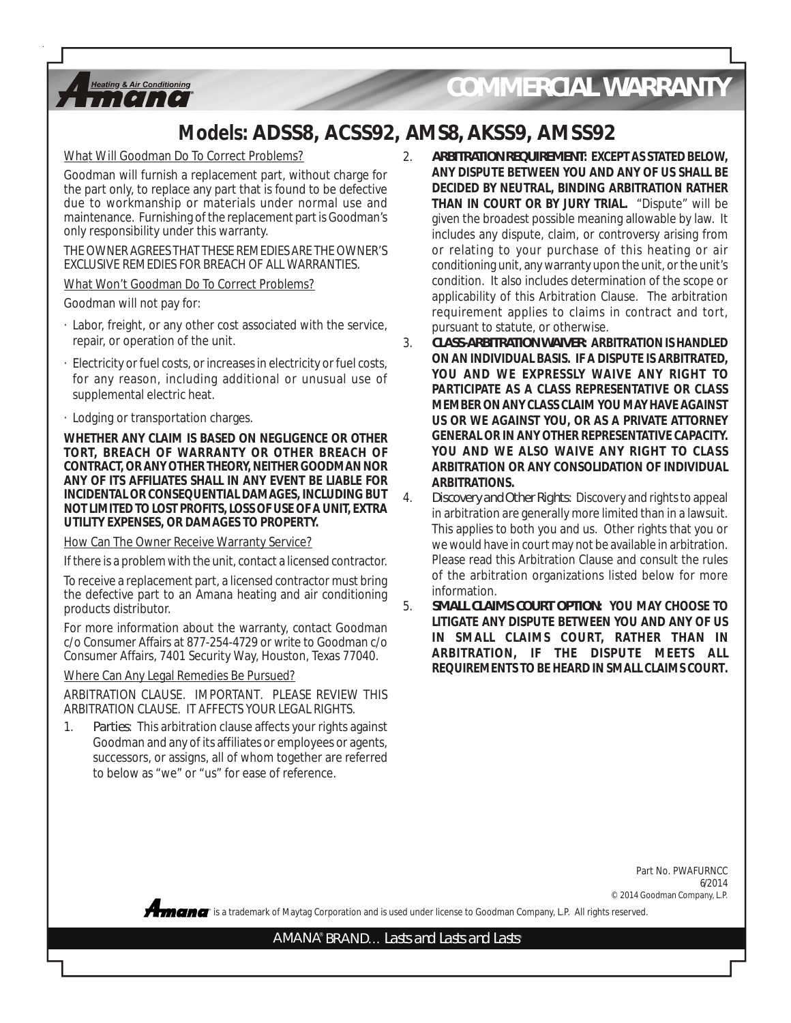

## *COMMERCIAL WARRANTY*

### **Models: ADSS8, ACSS92, AMS8, AKSS9, AMSS92**

What Will Goodman Do To Correct Problems?

Goodman will furnish a replacement part, without charge for the part only, to replace any part that is found to be defective due to workmanship or materials under normal use and maintenance. Furnishing of the replacement part is Goodman's only responsibility under this warranty.

THE OWNER AGREES THAT THESE REMEDIES ARE THE OWNER'S EXCLUSIVE REMEDIES FOR BREACH OF ALL WARRANTIES.

What Won't Goodman Do To Correct Problems?

Goodman will not pay for:

- · Labor, freight, or any other cost associated with the service, repair, or operation of the unit.
- Electricity or fuel costs, or increases in electricity or fuel costs, for any reason, including additional or unusual use of supplemental electric heat.
- · Lodging or transportation charges.

**WHETHER ANY CLAIM IS BASED ON NEGLIGENCE OR OTHER TORT, BREACH OF WARRANTY OR OTHER BREACH OF CONTRACT, OR ANY OTHER THEORY, NEITHER GOODMAN NOR ANY OF ITS AFFILIATES SHALL IN ANY EVENT BE LIABLE FOR INCIDENTAL OR CONSEQUENTIAL DAMAGES, INCLUDING BUT NOT LIMITED TO LOST PROFITS, LOSS OF USE OF A UNIT, EXTRA UTILITY EXPENSES, OR DAMAGES TO PROPERTY.**

#### How Can The Owner Receive Warranty Service?

If there is a problem with the unit, contact a licensed contractor.

To receive a replacement part, a licensed contractor must bring the defective part to an Amana heating and air conditioning products distributor.

For more information about the warranty, contact Goodman c/o Consumer Affairs at 877-254-4729 or write to Goodman c/o Consumer Affairs, 7401 Security Way, Houston, Texas 77040.

Where Can Any Legal Remedies Be Pursued?

ARBITRATION CLAUSE. IMPORTANT. PLEASE REVIEW THIS ARBITRATION CLAUSE. IT AFFECTS YOUR LEGAL RIGHTS.

1. *Parties*: This arbitration clause affects your rights against Goodman and any of its affiliates or employees or agents, successors, or assigns, all of whom together are referred to below as "we" or "us" for ease of reference.

- 2. *ARBITRATION REQUIREMENT***: EXCEPT AS STATED BELOW, ANY DISPUTE BETWEEN YOU AND ANY OF US SHALL BE DECIDED BY NEUTRAL, BINDING ARBITRATION RATHER THAN IN COURT OR BY JURY TRIAL.** "Dispute" will be given the broadest possible meaning allowable by law. It includes any dispute, claim, or controversy arising from or relating to your purchase of this heating or air conditioning unit, any warranty upon the unit, or the unit's condition. It also includes determination of the scope or applicability of this Arbitration Clause. The arbitration requirement applies to claims in contract and tort, pursuant to statute, or otherwise.
- 3. *CLASS-ARBITRATION WAIVER***: ARBITRATION IS HANDLED ON AN INDIVIDUAL BASIS. IF A DISPUTE IS ARBITRATED, YOU AND WE EXPRESSLY WAIVE ANY RIGHT TO PARTICIPATE AS A CLASS REPRESENTATIVE OR CLASS MEMBER ON ANY CLASS CLAIM YOU MAY HAVE AGAINST US OR WE AGAINST YOU, OR AS A PRIVATE ATTORNEY GENERAL OR IN ANY OTHER REPRESENTATIVE CAPACITY. YOU AND WE ALSO WAIVE ANY RIGHT TO CLASS ARBITRATION OR ANY CONSOLIDATION OF INDIVIDUAL ARBITRATIONS.**
- 4. *Discovery and Other Rights*: Discovery and rights to appeal in arbitration are generally more limited than in a lawsuit. This applies to both you and us. Other rights that you or we would have in court may not be available in arbitration. Please read this Arbitration Clause and consult the rules of the arbitration organizations listed below for more information.
- 5. *SMALL CLAIMS COURT OPTION***: YOU MAY CHOOSE TO LITIGATE ANY DISPUTE BETWEEN YOU AND ANY OF US IN SMALL CLAIMS COURT, RATHER THAN IN ARBITRATION, IF THE DISPUTE MEETS ALL REQUIREMENTS TO BE HEARD IN SMALL CLAIMS COURT.**

Part No. PWAFURNCC 6/2014 © 2014 Goodman Company, L.P.

**®** is a trademark of Maytag Corporation and is used under license to Goodman Company, L.P. All rights reserved.